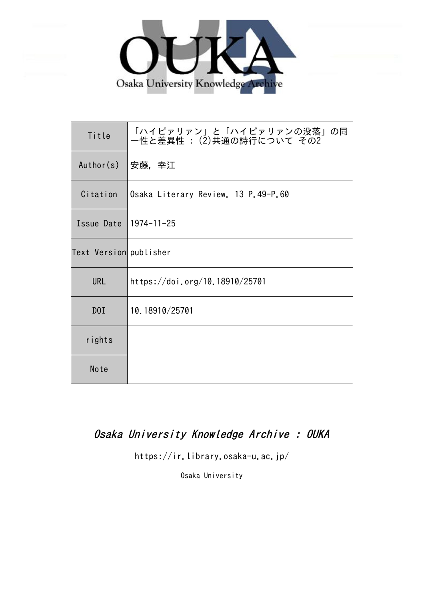

| Title                  | 「ハイピァリァン」と「ハイピァリァンの没落」の同<br>一性と差異性 : (2)共通の詩行について その2 |
|------------------------|-------------------------------------------------------|
| Author(s)              | 安藤,幸江                                                 |
| Citation               | Osaka Literary Review. 13 P.49-P.60                   |
| Issue Date             | $1974 - 11 - 25$                                      |
| Text Version publisher |                                                       |
| <b>URL</b>             | https://doi.org/10.18910/25701                        |
| D0I                    | 10.18910/25701                                        |
| rights                 |                                                       |
| Note                   |                                                       |

# Osaka University Knowledge Archive : OUKA

https://ir.library.osaka-u.ac.jp/

Osaka University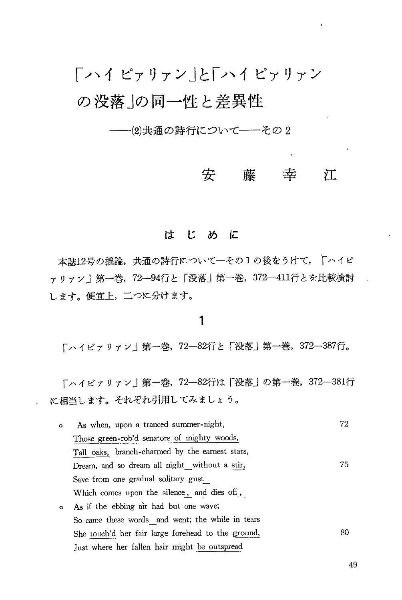---2)共通の詩行について--その2

#### 安藤幸 江

## はじめに

本誌12号の拙論,共通の詩行について一その1の後をうけて、「ハイピ ァリァン | 第一巻, 72- 94行と「没落」第一巻, 372- 411行とを比較検討 します。便宜上,二つに分けます。

### 1

「ハイピァリァン」第一巻,72-82行と「没落」第一巻,372-387行。

「ハイピァリァン」第一巻, 72-82行は「没落」の第一巻, 372-381行 に相当します。それぞれ引用してみましょう。

| $\circ$ | As when, upon a tranced summer-night,              | 72 |
|---------|----------------------------------------------------|----|
|         | Those green-rob'd senators of mighty woods,        |    |
|         | Tall oaks, branch-charmed by the earnest stars,    |    |
|         | Dream, and so dream all night_without a stir,      | 75 |
|         | Save from one gradual solitary gust                |    |
|         | Which comes upon the silence, and dies off,        |    |
| $\circ$ | As if the ebbing air had but one wave;             |    |
|         | So came these words and went; the while in tears   |    |
|         | She touch'd her fair large forehead to the ground, | 80 |
|         | Just where her fallen hair might be outspread      |    |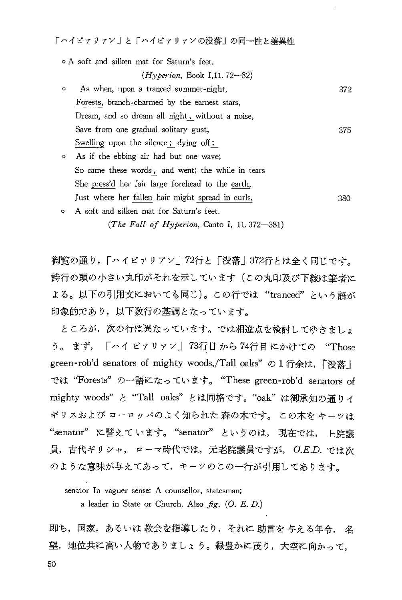o A soft and silken mat for Saturn's feet.  $(Hyperion, Book I.11.72-82)$ o As when, upon a tranced summer-night, 372 Forests, branch-charmed by the earnest stars, Dream, and so dream all night, without a noise, Save from one gradual solitary gust,  $375$ Swelling upon the silence; dying off; o As if the ebbing air had but one wave; So came these words , and went; the while in tears She press'd her fair large forehead to the earth, just where her fallen hair might spread in curls, 380

o A soft and silken mat for Saturn's feet. (The Fall of Hyperion, Canto I, 11.372-381)

御覧の通り、「ハイピァリアン|72行と「没落|372行とは全く同じです。 詩行の頭の小さい丸印がそれを示しています(この丸印及び下線は筆者に よる。以下の引用文においても同じ)。この行では "tranced" という語が 印象的であり、以下数行の基調となっています。

ところが、次の行は異なっています。では相違点を検討してゆきましょ う。まず, 「ハイピァリァン」73行目から74行目にかけての "Those green-rob'd senators of mighty woods,/Tall oaks" の1行余は,「没落し では "Forests" の一語になっています。 "These green-rob'd senators of mighty woods"と "Tall oaks" とは同格です。 "oak" は御承知の通りイ ギリスおよび ヨーロッパのよく知られた 森の木です。 この木を キーッは "senator" に譬えています。 "senator" というのは、現在では, 員、古代ギリシャ, ローマ時代では、元老院議員ですが、O.E.D. では次 のような意味が与えてあって、キーツのこの一行が引用してあります。

senator In vaguer sense: A counsellor, statesman;

a leader in State or Church. Also  $fg.$  (O. E. D.)

即ち,国家,あるいは 教会を指導したり,それに 助言を 与える年令, 名 望,地位共に高い人物でありましょう。緑豊かに茂り,大空に向かって,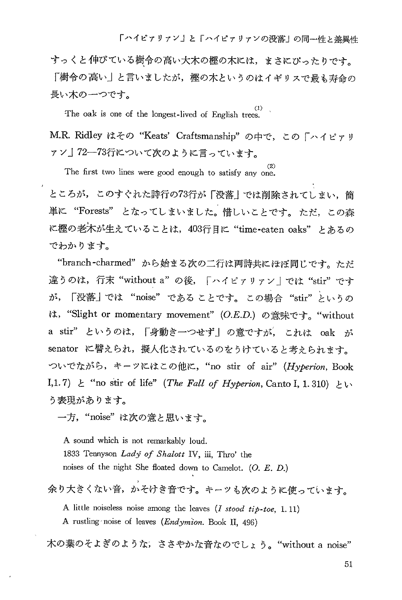すっくと伸びている樹令の高い大木の樫の木には、まさにぴったりです。 「樹令の高い」と言いましたが、樫の木というのはイギリスで最も寿命の 長い木の一つです。

The oak is one of the longest-lived of English trees.

M.R. Ridley はその "Keats' Craftsmanship" の中で、この「ハイピァリ ァン」72―73行について次のように言っています。

The first two lines were good enough to satisfy any one.

ところが、このすぐれた詩行の73行が「没落」では削除されてしまい、簡 単に "Forests" となってしまいました。惜しいことです。ただ、この森 に樫の老木が生えていることは、403行目に "time-eaten oaks" とあるの でわかります。

"branch-charmed"から始まる次の二行は両詩共にほぼ同じです。ただ 違うのは、行末 "without a"の後、「ハイピァリァン」では "stir"です が, 「没落」では "noise" である ことです。 この場合 "stir" というの は, "Slight or momentary movement" (O.E.D.) の意味です。"without a stir" というのは、「身動き一つせず」の意ですが、これは oak が senator に譬えられ、擬人化されているのをうけていると考えられます。 ついでながら、キーツにはこの他に、"no stir of air" (Hyperion, Book I,1.7)  $\&$  "no stir of life" (The Fall of Hyperion, Canto I, 1.310)  $\&$  ly う表現があります。

一方, "noise"は次の意と思います。

A sound which is not remarkably loud. 1833 Tennyson Ladý of Shalott IV, iii, Thro' the noises of the night She floated down to Camelot. (O. E. D.)

余り大きくない音、かそけき音です。キーツも次のように使っています。

A little noiseless noise among the leaves  $(I \text{ stood tip-toe}, 1.11)$ A rustling noise of leaves (Endymion. Book II, 496)

木の葉のそよぎのような, ささやかな音なのでしょう。 "without a noise"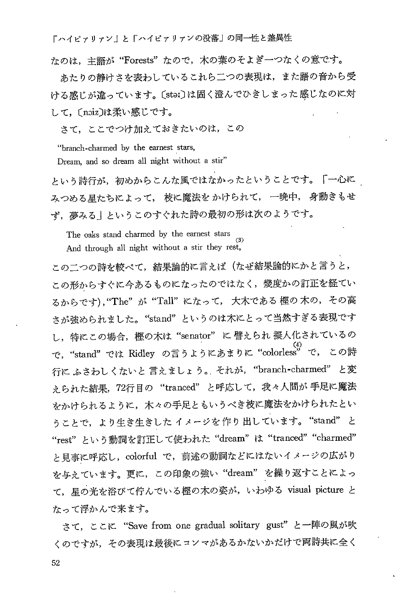たのは、主語が"Forests"なので,木の葉のそよぎ一つなくの意です。

あたりの静けさを表わしているこれら二つの表現は、また語の音から受 ける感じが違っています。〔stai〕は固く澄んでひきしまった感じなのに対 して、〔noiz〕は柔い感じです。

さて、ここでつけ加えておきたいのは、この

"branch-charmed by the earnest stars,

Dream, and so dream all night without a stir"

という詩行が、初めからこんな風ではなかったということです。「一心に みつめる星たちによって、枝に魔法をかけられて、一晩中、身動きもせ ず、夢みる」というこのすぐれた詩の最初の形は次のようです。

The oaks stand charmed by the earnest stars And through all night without a stir they rest,

この二つの詩を較べて、結果論的に言えば(なぜ結果論的にかと言うと、 この形からすぐに今あるものになったのではなく、幾度かの訂正を経てい るからです), "The"が "Tall"になって、大木である 樫の木の, その高 さが強められました。"stand"というのは木にとって当然すぎる表現です し、特にこの場合、樫の木は"senator"に譬えられ 擬人化されているの で, "stand"では Ridley の言うようにあまりに "colorless" で, この詩 行に ふさわしくないと 言えましょう。それが、"branch-charmed" と変 タられた結果, 72行目の "tranced" と呼応して、我々人間が手足に魔法 をかけられるように、木々の手足ともいうべき枝に魔法をかけられたとい うことで、より生き生きした イメージを作り出しています。"stand" と "rest" という動詞を訂正して使われた "dream" は "tranced" "charmed" と見事に呼応し、colorful で、前述の動詞などにはないイメージの広がり を与えています。更に、この印象の強い"dream"を繰り返すことによっ て、星の光を浴びて佇んでいる樫の木の姿が、いわゆる visual picture と なって浮かんで来ます。

さて、ここに "Save from one gradual solitary gust" と一陣の風が吹 くのですが、その表現は最後にコンマがあるかないかだけで両詩共に全く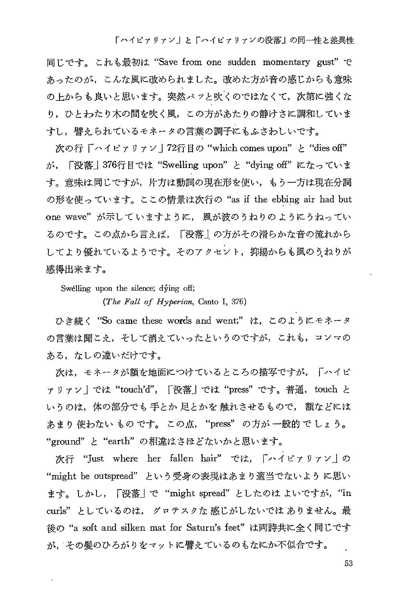同じです。これも最初は "Save from one sudden momentary gust" で あったのが、こんな風に改められました。改めた方が音の感じからも意味 の上からも良いと思います。突然パッと吹くのではなくて、次第に強くな り、ひとわたり木の間を吹く風、この方があたりの静けさに調和していま すし、譬えられているモネータの言葉の調子にもふさわしいです。

次の行「ハイピァリァン|72行目の "which comes upon" と "dies off" が、「没落」376行目では "Swelling upon" と "dying off" になっていま す。意味は同じですが、片方は動詞の現在形を使い、もう一方は現在分詞 の形を使っています。ここの情景は次行の "as if the ebbing air had but one wave"が示していますように,風が波のうねりのようにうねってい るのです。この点から言えば、「没落」の方がその滑らかな音の流れから してより優れているようです。そのアクセント、抑揚からも風のうねりが 感得出来ます。

Swelling upon the silence; dving off;

(The Fall of Hyperion, Canto I, 376)

ひき続く "So came these words and went;" は、このようにモネータ の言葉は聞こえ、そして消えていったというのですが、これも、コンマの ある、なしの違いだけです。

次は、モネータが額を地面につけているところの描写ですが、「ハイピ ァリァン」では"touch'd",「没落」では"press"です。普通,touch と いうのは、体の部分でも 手とか 足とかを 触れさせるもので、 額などには あまり 使わない もの です。 この点, "press" の方が 一般的 で しょう。 "ground"と "earth" の相違はさほどないかと思います。

次行 "Just where her fallen hair" では、「ハイピァリァン」の "might be outspread" という受身の表現はあまり適当でないように思い ます。しかし,「没落」で "might spread"としたのはよいですが,"in curls" としているのは、 グロテスクな 感じがしないでは ありません。最 後の "a soft and silken mat for Saturn's feet" は両詩共に全く同じです が、その髪のひろがりをマットに譬えているのもなにか不似合です。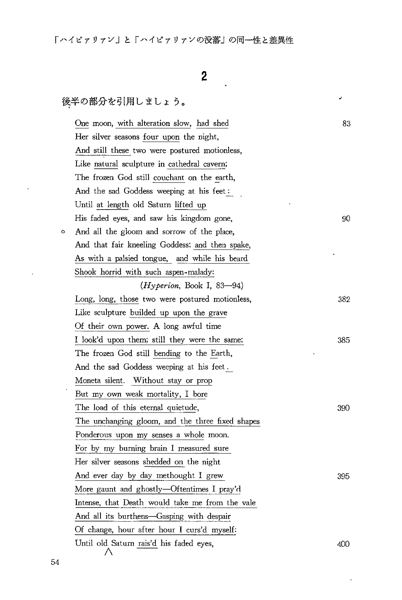# z

J.

 $\epsilon$ 

## 後半の部分を引用しましょう。

|   | One moon, with alteration slow, had shed         | 83  |
|---|--------------------------------------------------|-----|
|   | Her silver seasons four upon the night,          |     |
|   | And still these two were postured motionless,    |     |
|   | Like natural sculpture in cathedral cavern;      |     |
|   | The frozen God still couchant on the earth,      |     |
|   | And the sad Goddess weeping at his feet:         |     |
|   | Until at length old Saturn lifted up             |     |
|   | His faded eyes, and saw his kingdom gone,        | 90  |
| ۰ | And all the gloom and sorrow of the place,       |     |
|   | And that fair kneeling Goddess; and then spake,  |     |
|   | As with a palsied tongue, and while his beard    |     |
|   | Shook horrid with such aspen-malady:             |     |
|   | (Hyperion, Book I, 83–94)                        |     |
|   | Long, long, those two were postured motionless,  | 382 |
|   | Like sculpture builded up upon the grave         |     |
|   | Of their own power. A long awful time            |     |
|   | I look'd upon them; still they were the same;    | 385 |
|   | The frozen God still bending to the Earth,       |     |
|   | And the sad Goddess weeping at his feet.         |     |
|   | Moneta silent. Without stay or prop              |     |
|   | But my own weak mortality, I bore                |     |
|   | The load of this eternal quietude,               | 390 |
|   | The unchanging gloom, and the three fixed shapes |     |
|   | Ponderous upon my senses a whole moon.           |     |
|   | For by my burning brain I measured sure          |     |
|   | Her silver seasons shedded on the night          |     |
|   | And ever day by day methought I grew             | 395 |
|   | More gaunt and ghostly—Oftentimes I pray'd       |     |
|   | Intense, that Death would take me from the vale  |     |
|   | And all its burthens-Gasping with despair        |     |
|   | Of change, hour after hour I curs'd myself:      |     |
|   | Until old Saturn rais'd his faded eyes,<br>Λ     | 400 |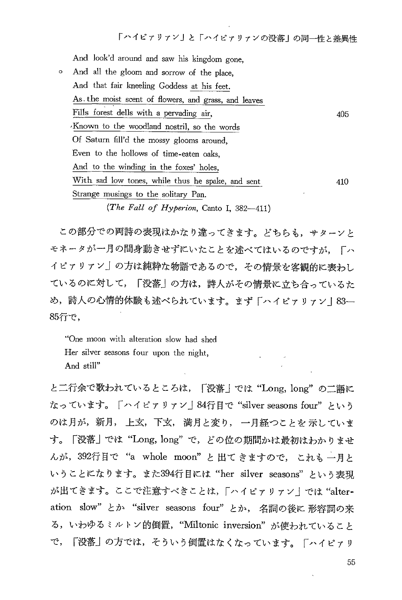And look'd around and saw his kingdom gone, 0 And all the gloom and sorrow of the place , And that fair kneeling Goddess at his feet. As. the moist scent of flowers, and grass, and leaves Fills forest dells with a pervading air, Known to the woodland nostril, so the words Of Saturn fill'd the mossy glooms around, Even to the hollows of time-eaten oaks, And to the winding in the foxes' holes, With sad low tones, while thus he spake, and sent Strange musings to the solitary Pan. (The Fall of Hyperion, Canto I,  $382-411$ ) 405 410

この部分での両詩の表現はかなり違ってきます。どちらも、サターンと モネータが一月の間身動きせずにいたことを述べてはいるのですが、「ハ イピァリァン」の方は純粋な物語であるので、その情景を客観的に表わし ているのに対して、「没落」の方は、詩人がその情景に立ち合っているた め,詩人の心情的体験も述べられています。まず「ハイピァリァン丨83-85行 で,

"One moon with alteration slo w had shed Her silver seasons four upon the night, And still"

と二行余で歌われているところは、「没落」では"Long, long"の二語に なっています。「ハイピァリァン」84行目で "silver seasons four" という のは月が,新月, 上玄,下玄, 満月と変り, 一月経つことを 示していま す。「没落」では"Long, long"で, どの位の期間かは最初はわかりませ んが, 392行目で "a whole moon" と出てきますので、これも一月と いうことになります。また394行目には"her silver seasons"という表現 が出てきます。ここで注意すべきことは、「ハイピァリァン」では "alteration slow" とか "silver seasons four" とか, 名詞の後に 形容詞の来 る, いわゆるミルトン的倒置, "Miltonic inversion"が使われていること で、「没落」の方では、そういう倒置はなくなっています。「ハイピァリ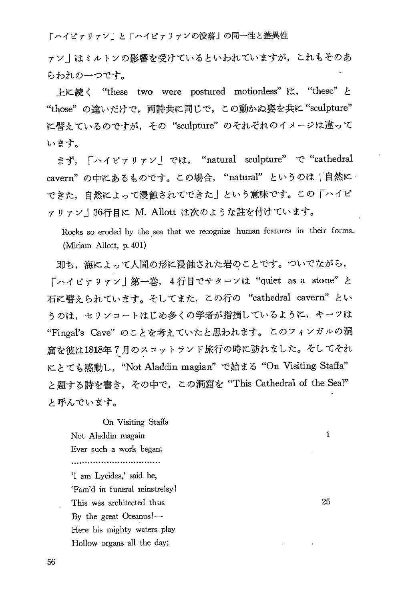ァン丨はミルトンの影響を受けているといわれていますが、これもそのあ らわれの一つです。

上に続く "these two were postured motionless" は, "these" と "those"の違いだけで,両詩共に同じで,この動かぬ姿を共に "sculpt に譬えているのですが、その "sculpture" のそれぞれのイメージは違って います。

まず, 「ハイピァリァン」では, "natural sculpture" で "cathedral cavern"の中にあるものです。この場合、"natural" というのは「自然に できた、自然によって浸蝕されてできた」という意味です。この「ハイピ ァリァン | 36行目に M. Allott は次のような註を付けています。

Rocks so eroded by the sea that we recognize human features in their forms. (Miriam Allott, p. 401)

即ち、海によって人間の形に浸蝕された岩のことです。ついでながら、 「ハイピァリァン」第一巻, 4行目でサターンは "quiet as a stone" と 石に譬えられています。そしてまた、この行の "cathedral cavern" とい うのは、セリンコートはじめ多くの学者が指摘しているように、キーツは "Fingal's Cave" のことを考えていたと思われます。このフィンガルの洞 窟を彼は1818年7月のスコットランド旅行の時に訪れました。そしてそれ にとても感動し, "Not Aladdin magian" で始まる "On Visiting Staffa" と題する詩を書き, その中で, この洞窟を "This Cathedral of the Sea!" と呼んでいます。

On Visiting Staffa Not Aladdin magain Ever such a work began; ............................... 'I am Lycidas,' said he, 'Fam'd in funeral minstrelsy! This was architected thus By the great Oceanus!— Here his mighty waters play Hollow organs all the day;

1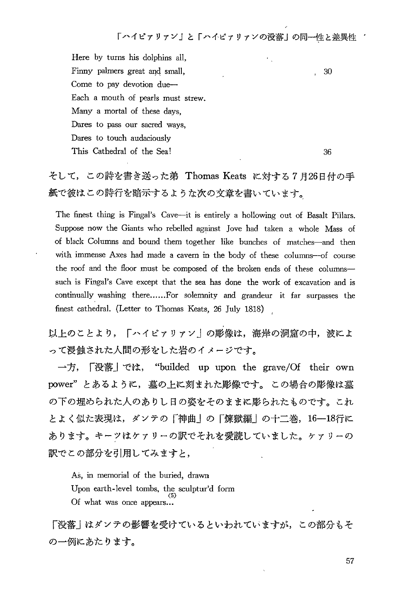!

Here by turns his dolphins all, Finny palmers great and small, Come to pay devotion due— Each a mouth of pearls must strew. Many a mortal of these days, Dares to pass our sacred ways, Dares to touch audaciously This Cathedral of the Sea!

36

30

そして、この詩を書き送った弟 Thomas Keats に対する7月26日付の手 紙で彼はこの詩行を暗示するような次の文章を書いています。

The finest thing is Fingal's Cave—it is entirely a hollowing out of Basalt Pillars. Suppose now the Giants who rebelled against Jove had taken a whole Mass of of black Columns and bound them together like bunches of matches—and then with immense Axes had made a cavern in the body of these columns—of course the roof and the floor must be composed of the broken ends of these columns such is Fingal's Cave except that the sea has done the work of excavation and is continually washing there......For solemnity and grandeur it far surpasses the finest cathedral. (Letter to Thomas Keats, 26 July 1818)

以トのことより、「ハイピァリァン」の彫像は、海岸の洞窟の中,波によ って浸蝕された人間の形をした岩のイメージです。

一方, 「没落」では, "builded up upon the grave/Of their own power"とあるように、墓の上に刻まれた彫像です。この場合の彫像は墓 の下の埋められた人のありし日の姿をそのままに彫られたものです。これ とよく似た表現は、ダンテの「神曲」の「煉獄編」の十二巻、16-18行に あります。キーツはケァリーの訳でそれを愛読していました。ケァリーの 訳でこの部分を引用してみますと、

As, in memorial of the buried, drawn Upon earth-level tombs, the sculptur'd form  $(5)$ Of what was once appears...

「没落」はダンテの影響を受けているといわれていますが、この部分もそ の一例にあたります。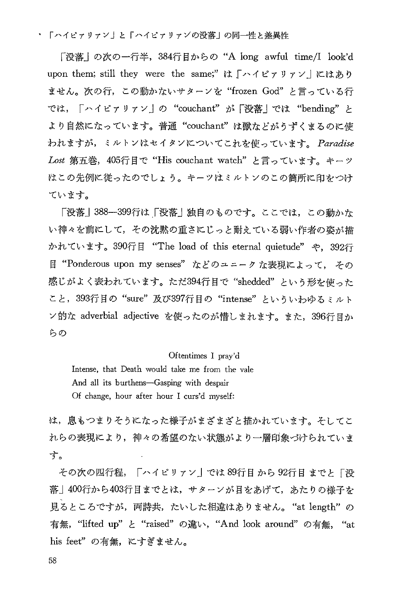「没落」の次の一行半, 384行目からの"A long awful time/I look'd upon them; still they were the same;" は「ハイピァリァン」にはあり ません。次の行, この動かないサターンを "frozen God" と言っている行 では、「ハイピァリァン」の "couchant" が「没落」では "bending" と より自然になっています。普通"couchant"は獣などがうずくまるのに使 われますが、ミルトンはセイタンについてこれを使っています。Paradise Lost 第五巻, 405行目で "His couchant watch" と言っています。キーツ はこの先例に従ったのでしょう。キーツはミルトンのこの簡所に印をつけ ています。

「没落」388--399行は「没落」独自のものです。ここでは、この動かな い神々を前にして、その沈黙の重さにじっと耐えている弱い作者の姿が描 かれています。390行目 "The load of this eternal quietude" や、392行 目 "Ponderous upon my senses" などのユニークな表現によって、その 感じがよく表われています。ただ394行目で"shedded"という形を使った こと, 393行目の"sure"及び397行目の"intense"といういわゆるミルト ン的な adverbial adjective を使ったのが惜しまれます。また、396行目か らの

#### Oftentimes I pray'd

Intense, that Death would take me from the vale And all its burthens-Gasping with despair Of change, hour after hour I curs'd myself:

は,息もつまりそうになった様子がまざまざと描かれています。そしてこ れらの表現により,神々の希望のない状態がより一層印象づけられていま す。

その次の四行程,「ハイピリァン」では 89行目 から 92行目 までと「没 落」400行から403行目までとは、サターンが目をあげて、あたりの様子を 見るところですが、両詩共、たいした相違はありません。"at length"の 有無, "lifted up" と "raised" の違い, "And look around" の有無, "at his feet"の有無、にすぎません。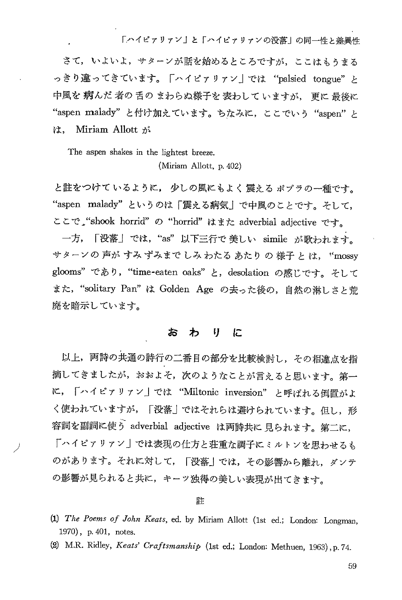さて、いよいよ、サターンが話を始めるところですが、ここはもうまる っきり違ってきています。「ハイピァリァン」では "palsied tongue"と 中風を病んだ者の舌のまわらぬ様子を表わしていますが、更に最後に "aspen malady"と付け加えています。ちなみに, ここでいう "aspen は, Miriam Allott が

The aspen shakes in the lightest breeze.

(Miriam Allott, p. 402)

と註をつけているように、少しの風にもよく 震々る ポプラの一種です。 "aspen malady"というのは「震える病気」で中風のことです。そして ここで "shook horrid" の "horrid" はまた adverbial adjective です。

一方,「没落」では,"as"以下三行で 美しい simile が歌われます。 サターンの 声が すみ ずみまで しみ わたる あたり の 様子 と は, "mossy glooms" であり, "time-eaten oaks" と, desolation の感じです。そして また, "solitary Pan" は Golden Age の去った後の, 自然の淋しさと荒 廃を暗示しています。

### おわりに

以上、両詩の共通の詩行の二番目の部分を比較検討し、その相違点を指 摘してきましたが,おおよそ,次のようなことが言えると思います。第一 に,「ハイピァリァン」では "Miltonic inversion" と呼ばれる倒置がよ く使われていますが、「没落」ではそれらは避けられています。但し、形 容詞を副詞に使う adverbial adjective は両詩共に見られます。第二に, 「ハイピァリァン」では表現の仕方と荘重な調子にミルトンを思わせるも のがあります。それに対して、「没落」では、その影響から離れ、ダンテ の影響が見られると共に、キーッ独得の美しい表現が出てきます。

### 註

- (1) The Poems of John Keats, ed. by Miriam Allott (1st ed.; London: Longman, 1970), p. 401, notes.
- (2) M.R. Ridley, Keats' Craftsmanship (1st ed.; London: Methuen, 1963), p. 74.